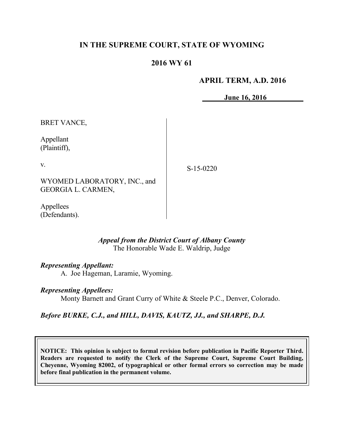# **IN THE SUPREME COURT, STATE OF WYOMING**

# **2016 WY 61**

### **APRIL TERM, A.D. 2016**

**June 16, 2016**

BRET VANCE,

Appellant (Plaintiff),

v.

S-15-0220

WYOMED LABORATORY, INC., and GEORGIA L. CARMEN,

Appellees (Defendants).

### *Appeal from the District Court of Albany County* The Honorable Wade E. Waldrip, Judge

#### *Representing Appellant:*

A. Joe Hageman, Laramie, Wyoming.

#### *Representing Appellees:*

Monty Barnett and Grant Curry of White & Steele P.C., Denver, Colorado.

## *Before BURKE, C.J., and HILL, DAVIS, KAUTZ, JJ., and SHARPE, D.J.*

**NOTICE: This opinion is subject to formal revision before publication in Pacific Reporter Third. Readers are requested to notify the Clerk of the Supreme Court, Supreme Court Building, Cheyenne, Wyoming 82002, of typographical or other formal errors so correction may be made before final publication in the permanent volume.**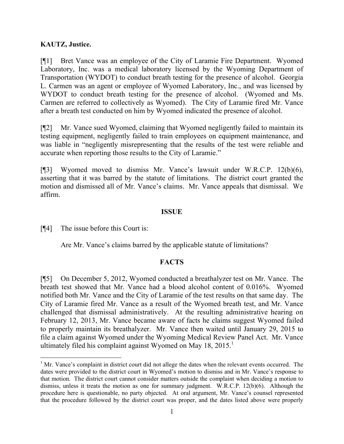#### **KAUTZ, Justice.**

[¶1] Bret Vance was an employee of the City of Laramie Fire Department. Wyomed Laboratory, Inc. was a medical laboratory licensed by the Wyoming Department of Transportation (WYDOT) to conduct breath testing for the presence of alcohol. Georgia L. Carmen was an agent or employee of Wyomed Laboratory, Inc., and was licensed by WYDOT to conduct breath testing for the presence of alcohol. (Wyomed and Ms. Carmen are referred to collectively as Wyomed). The City of Laramie fired Mr. Vance after a breath test conducted on him by Wyomed indicated the presence of alcohol.

[¶2] Mr. Vance sued Wyomed, claiming that Wyomed negligently failed to maintain its testing equipment, negligently failed to train employees on equipment maintenance, and was liable in "negligently misrepresenting that the results of the test were reliable and accurate when reporting those results to the City of Laramie."

[¶3] Wyomed moved to dismiss Mr. Vance's lawsuit under W.R.C.P. 12(b)(6), asserting that it was barred by the statute of limitations. The district court granted the motion and dismissed all of Mr. Vance's claims. Mr. Vance appeals that dismissal. We affirm.

#### **ISSUE**

[¶4] The issue before this Court is:

Are Mr. Vance's claims barred by the applicable statute of limitations?

## **FACTS**

[¶5] On December 5, 2012, Wyomed conducted a breathalyzer test on Mr. Vance. The breath test showed that Mr. Vance had a blood alcohol content of 0.016%. Wyomed notified both Mr. Vance and the City of Laramie of the test results on that same day. The City of Laramie fired Mr. Vance as a result of the Wyomed breath test, and Mr. Vance challenged that dismissal administratively. At the resulting administrative hearing on February 12, 2013, Mr. Vance became aware of facts he claims suggest Wyomed failed to properly maintain its breathalyzer. Mr. Vance then waited until January 29, 2015 to file a claim against Wyomed under the Wyoming Medical Review Panel Act. Mr. Vance ultimately filed his complaint against Wyomed on May  $18, 2015$ .<sup>1</sup>

<sup>&</sup>lt;sup>1</sup> Mr. Vance's complaint in district court did not allege the dates when the relevant events occurred. The dates were provided to the district court in Wyomed's motion to dismiss and in Mr. Vance's response to that motion. The district court cannot consider matters outside the complaint when deciding a motion to dismiss, unless it treats the motion as one for summary judgment. W.R.C.P. 12(b)(6). Although the procedure here is questionable, no party objected. At oral argument, Mr. Vance's counsel represented that the procedure followed by the district court was proper, and the dates listed above were properly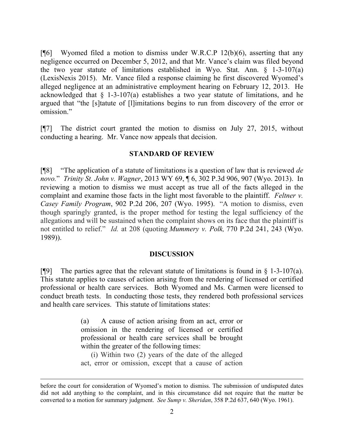[ $[$ 6] Wyomed filed a motion to dismiss under W.R.C.P 12(b)(6), asserting that any negligence occurred on December 5, 2012, and that Mr. Vance's claim was filed beyond the two year statute of limitations established in Wyo. Stat. Ann. § 1-3-107(a) (LexisNexis 2015). Mr. Vance filed a response claiming he first discovered Wyomed's alleged negligence at an administrative employment hearing on February 12, 2013. He acknowledged that  $\S$  1-3-107(a) establishes a two year statute of limitations, and he argued that "the [s]tatute of [l]imitations begins to run from discovery of the error or omission."

[¶7] The district court granted the motion to dismiss on July 27, 2015, without conducting a hearing. Mr. Vance now appeals that decision.

#### **STANDARD OF REVIEW**

[¶8] "The application of a statute of limitations is a question of law that is reviewed *de novo.*" *Trinity St. John v. Wagner*, 2013 WY 69, ¶ 6, 302 P.3d 906, 907 (Wyo. 2013). In reviewing a motion to dismiss we must accept as true all of the facts alleged in the complaint and examine those facts in the light most favorable to the plaintiff. *Feltner v. Casey Family Program*, 902 P.2d 206, 207 (Wyo. 1995). "A motion to dismiss, even though sparingly granted, is the proper method for testing the legal sufficiency of the allegations and will be sustained when the complaint shows on its face that the plaintiff is not entitled to relief." *Id.* at 208 (quoting *Mummery v. Polk,* 770 P.2d 241, 243 (Wyo. 1989)).

#### **DISCUSSION**

[ $[$ [9] The parties agree that the relevant statute of limitations is found in § 1-3-107(a). This statute applies to causes of action arising from the rendering of licensed or certified professional or health care services. Both Wyomed and Ms. Carmen were licensed to conduct breath tests. In conducting those tests, they rendered both professional services and health care services. This statute of limitations states:

> (a) A cause of action arising from an act, error or omission in the rendering of licensed or certified professional or health care services shall be brought within the greater of the following times:

> (i) Within two (2) years of the date of the alleged act, error or omission, except that a cause of action

l

before the court for consideration of Wyomed's motion to dismiss. The submission of undisputed dates did not add anything to the complaint, and in this circumstance did not require that the matter be converted to a motion for summary judgment. *See Sump v. Sheridan*, 358 P.2d 637, 640 (Wyo. 1961).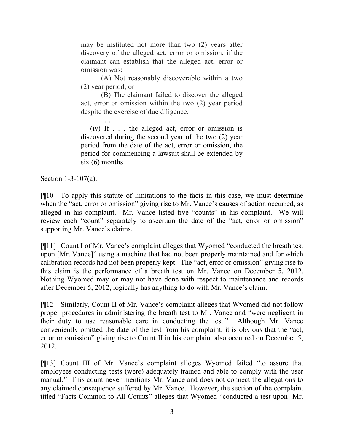may be instituted not more than two (2) years after discovery of the alleged act, error or omission, if the claimant can establish that the alleged act, error or omission was:

(A) Not reasonably discoverable within a two (2) year period; or

(B) The claimant failed to discover the alleged act, error or omission within the two (2) year period despite the exercise of due diligence.

. . . . (iv) If . . . the alleged act, error or omission is discovered during the second year of the two (2) year period from the date of the act, error or omission, the period for commencing a lawsuit shall be extended by  $six(6)$  months.

Section 1-3-107(a).

[¶10] To apply this statute of limitations to the facts in this case, we must determine when the "act, error or omission" giving rise to Mr. Vance's causes of action occurred, as alleged in his complaint. Mr. Vance listed five "counts" in his complaint. We will review each "count" separately to ascertain the date of the "act, error or omission" supporting Mr. Vance's claims.

[¶11] Count I of Mr. Vance's complaint alleges that Wyomed "conducted the breath test upon [Mr. Vance]" using a machine that had not been properly maintained and for which calibration records had not been properly kept. The "act, error or omission" giving rise to this claim is the performance of a breath test on Mr. Vance on December 5, 2012. Nothing Wyomed may or may not have done with respect to maintenance and records after December 5, 2012, logically has anything to do with Mr. Vance's claim.

[¶12] Similarly, Count II of Mr. Vance's complaint alleges that Wyomed did not follow proper procedures in administering the breath test to Mr. Vance and "were negligent in their duty to use reasonable care in conducting the test." Although Mr. Vance conveniently omitted the date of the test from his complaint, it is obvious that the "act, error or omission" giving rise to Count II in his complaint also occurred on December 5, 2012.

[¶13] Count III of Mr. Vance's complaint alleges Wyomed failed "to assure that employees conducting tests (were) adequately trained and able to comply with the user manual." This count never mentions Mr. Vance and does not connect the allegations to any claimed consequence suffered by Mr. Vance. However, the section of the complaint titled "Facts Common to All Counts" alleges that Wyomed "conducted a test upon [Mr.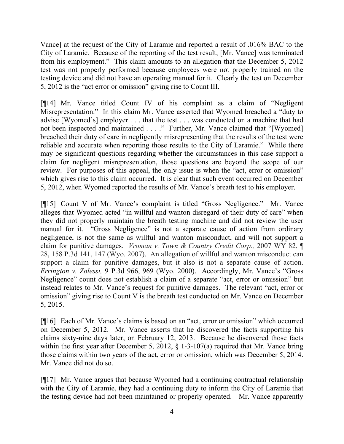Vance] at the request of the City of Laramie and reported a result of .016% BAC to the City of Laramie. Because of the reporting of the test result, [Mr. Vance] was terminated from his employment." This claim amounts to an allegation that the December 5, 2012 test was not properly performed because employees were not properly trained on the testing device and did not have an operating manual for it. Clearly the test on December 5, 2012 is the "act error or omission" giving rise to Count III.

[¶14] Mr. Vance titled Count IV of his complaint as a claim of "Negligent Misrepresentation." In this claim Mr. Vance asserted that Wyomed breached a "duty to advise [Wyomed's] employer . . . that the test . . . was conducted on a machine that had not been inspected and maintained . . . ." Further, Mr. Vance claimed that "[Wyomed] breached their duty of care in negligently misrepresenting that the results of the test were reliable and accurate when reporting those results to the City of Laramie." While there may be significant questions regarding whether the circumstances in this case support a claim for negligent misrepresentation, those questions are beyond the scope of our review. For purposes of this appeal, the only issue is when the "act, error or omission" which gives rise to this claim occurred. It is clear that such event occurred on December 5, 2012, when Wyomed reported the results of Mr. Vance's breath test to his employer.

[¶15] Count V of Mr. Vance's complaint is titled "Gross Negligence." Mr. Vance alleges that Wyomed acted "in willful and wanton disregard of their duty of care" when they did not properly maintain the breath testing machine and did not review the user manual for it. "Gross Negligence" is not a separate cause of action from ordinary negligence, is not the same as willful and wanton misconduct, and will not support a claim for punitive damages. *Vroman v. Town & Country Credit Corp.,* 2007 WY 82, ¶ 28, 158 P.3d 141, 147 (Wyo. 2007). An allegation of willful and wanton misconduct can support a claim for punitive damages, but it also is not a separate cause of action. *Errington v. Zolessi,* 9 P.3d 966, 969 (Wyo. 2000). Accordingly, Mr. Vance's "Gross Negligence" count does not establish a claim of a separate "act, error or omission" but instead relates to Mr. Vance's request for punitive damages. The relevant "act, error or omission" giving rise to Count V is the breath test conducted on Mr. Vance on December 5, 2015.

[¶16] Each of Mr. Vance's claims is based on an "act, error or omission" which occurred on December 5, 2012. Mr. Vance asserts that he discovered the facts supporting his claims sixty-nine days later, on February 12, 2013. Because he discovered those facts within the first year after December 5, 2012, § 1-3-107(a) required that Mr. Vance bring those claims within two years of the act, error or omission, which was December 5, 2014. Mr. Vance did not do so.

[¶17] Mr. Vance argues that because Wyomed had a continuing contractual relationship with the City of Laramie, they had a continuing duty to inform the City of Laramie that the testing device had not been maintained or properly operated. Mr. Vance apparently